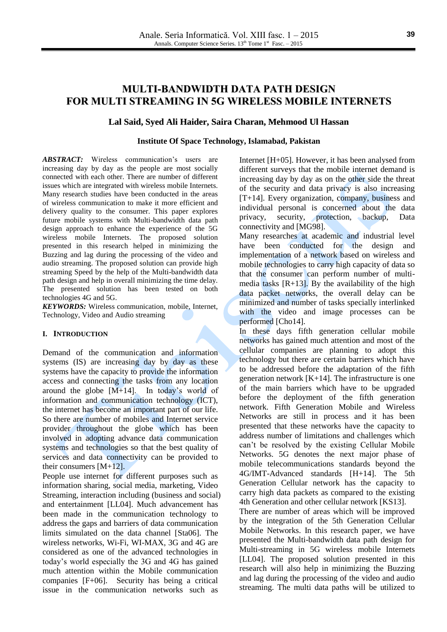# **MULTI-BANDWIDTH DATA PATH DESIGN FOR MULTI STREAMING IN 5G WIRELESS MOBILE INTERNETS**

## **Lal Said, Syed Ali Haider, Saira Charan, Mehmood Ul Hassan**

### **Institute Of Space Technology, Islamabad, Pakistan**

*ABSTRACT:* Wireless communication's users are increasing day by day as the people are most socially connected with each other. There are number of different issues which are integrated with wireless mobile Internets. Many research studies have been conducted in the areas of wireless communication to make it more efficient and delivery quality to the consumer. This paper explores future mobile systems with Multi-bandwidth data path design approach to enhance the experience of the 5G wireless mobile Internets. The proposed solution presented in this research helped in minimizing the Buzzing and lag during the processing of the video and audio streaming. The proposed solution can provide high streaming Speed by the help of the Multi-bandwidth data path design and help in overall minimizing the time delay. The presented solution has been tested on both technologies 4G and 5G.

*KEYWORDS:* Wireless communication, mobile, Internet, Technology, Video and Audio streaming

#### **I. INTRODUCTION**

Demand of the communication and information systems (IS) are increasing day by day as these systems have the capacity to provide the information access and connecting the tasks from any location around the globe  $[M+14]$ . In today's world of information and communication technology (ICT), the internet has become an important part of our life. So there are number of mobiles and Internet service provider throughout the globe which has been involved in adopting advance data communication systems and technologies so that the best quality of services and data connectivity can be provided to their consumers [M+12].

People use internet for different purposes such as information sharing, social media, marketing, Video Streaming, interaction including (business and social) and entertainment [LL04]. Much advancement has been made in the communication technology to address the gaps and barriers of data communication limits simulated on the data channel [Sta06]. The wireless networks, Wi-Fi, WI-MAX, 3G and 4G are considered as one of the advanced technologies in today's world especially the 3G and 4G has gained much attention within the Mobile communication companies [F+06]. Security has being a critical issue in the communication networks such as

Internet [H+05]. However, it has been analysed from different surveys that the mobile internet demand is increasing day by day as on the other side the threat of the security and data privacy is also increasing [T+14]. Every organization, company, business and individual personal is concerned about the data privacy, security, protection, backup, Data connectivity and [MG98].

Many researches at academic and industrial level have been conducted for the design and implementation of a network based on wireless and mobile technologies to carry high capacity of data so that the consumer can perform number of multimedia tasks  $[R+13]$ . By the availability of the high data packet networks, the overall delay can be minimized and number of tasks specially interlinked with the video and image processes can be performed [Cho14].

In these days fifth generation cellular mobile networks has gained much attention and most of the cellular companies are planning to adopt this technology but there are certain barriers which have to be addressed before the adaptation of the fifth generation network [K+14]. The infrastructure is one of the main barriers which have to be upgraded before the deployment of the fifth generation network. Fifth Generation Mobile and Wireless Networks are still in process and it has been presented that these networks have the capacity to address number of limitations and challenges which can't be resolved by the existing Cellular Mobile Networks. 5G denotes the next major phase of mobile telecommunications standards beyond the 4G/IMT-Advanced standards [H+14]. The 5th Generation Cellular network has the capacity to carry high data packets as compared to the existing 4th Generation and other cellular network [KS13].

There are number of areas which will be improved by the integration of the 5th Generation Cellular Mobile Networks. In this research paper, we have presented the Multi-bandwidth data path design for Multi-streaming in 5G wireless mobile Internets [LL04]. The proposed solution presented in this research will also help in minimizing the Buzzing and lag during the processing of the video and audio streaming. The multi data paths will be utilized to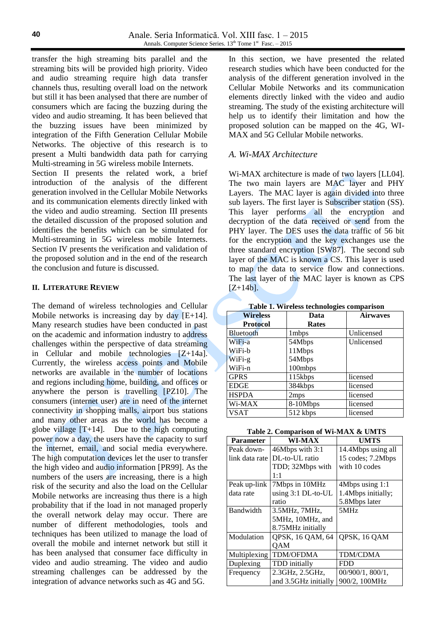transfer the high streaming bits parallel and the streaming bits will be provided high priority. Video and audio streaming require high data transfer channels thus, resulting overall load on the network but still it has been analysed that there are number of consumers which are facing the buzzing during the video and audio streaming. It has been believed that the buzzing issues have been minimized by integration of the Fifth Generation Cellular Mobile Networks. The objective of this research is to present a Multi bandwidth data path for carrying Multi-streaming in 5G wireless mobile Internets. Section II presents the related work, a brief introduction of the analysis of the different generation involved in the Cellular Mobile Networks and its communication elements directly linked with the video and audio streaming. Section III presents

the detailed discussion of the proposed solution and identifies the benefits which can be simulated for Multi-streaming in 5G wireless mobile Internets. Section IV presents the verification and validation of the proposed solution and in the end of the research the conclusion and future is discussed.

### **II. LITERATURE REVIEW**

The demand of wireless technologies and Cellular Mobile networks is increasing day by day [E+14]. Many research studies have been conducted in past on the academic and information industry to address challenges within the perspective of data streaming in Cellular and mobile technologies [Z+14a]. Currently, the wireless access points and Mobile networks are available in the number of locations and regions including home, building, and offices or anywhere the person is travelling [PZ10]. The consumers (internet user) are in need of the internet connectivity in shopping malls, airport bus stations and many other areas as the world has become a globe village  $[T+14]$ . Due to the high computing power now a day, the users have the capacity to surf the internet, email, and social media everywhere. The high computation devices let the user to transfer the high video and audio information [PR99]. As the numbers of the users are increasing, there is a high risk of the security and also the load on the Cellular Mobile networks are increasing thus there is a high probability that if the load in not managed properly the overall network delay may occur. There are number of different methodologies, tools and techniques has been utilized to manage the load of overall the mobile and internet network but still it has been analysed that consumer face difficulty in video and audio streaming. The video and audio streaming challenges can be addressed by the integration of advance networks such as 4G and 5G.

In this section, we have presented the related research studies which have been conducted for the analysis of the different generation involved in the Cellular Mobile Networks and its communication elements directly linked with the video and audio streaming. The study of the existing architecture will help us to identify their limitation and how the proposed solution can be mapped on the 4G, WI-MAX and 5G Cellular Mobile networks.

## *A. Wi-MAX Architecture*

Wi-MAX architecture is made of two layers [LL04]. The two main layers are MAC layer and PHY Layers. The MAC layer is again divided into three sub layers. The first layer is Subscriber station (SS). This layer performs all the encryption and decryption of the data received or send from the PHY layer. The DES uses the data traffic of 56 bit for the encryption and the key exchanges use the three standard encryption [SW87]. The second sub layer of the MAC is known a CS. This layer is used to map the data to service flow and connections. The last layer of the MAC layer is known as CPS  $[Z+14b]$ .

**Table 1. Wireless technologies comparison**

| <b>Wireless</b> | Data             | <b>Airwaves</b> |  |
|-----------------|------------------|-----------------|--|
| <b>Protocol</b> | Rates            |                 |  |
| Bluetooth       | 1 mbps           | Unlicensed      |  |
| WiFi-a          | 54Mbps           | Unlicensed      |  |
| WiFi-b          | 11Mbps           |                 |  |
| WiFi-g          | 54Mbps           |                 |  |
| WiFi-n          | 100mbps          |                 |  |
| <b>GPRS</b>     | 115kbps          | licensed        |  |
| <b>EDGE</b>     | 384kbps          | licensed        |  |
| <b>HSPDA</b>    | 2 <sub>mps</sub> | licensed        |  |
| Wi-MAX          | 8-10Mbps         | licensed        |  |
| <b>VSAT</b>     | 512 kbps         | licensed        |  |

| Table 2. Comparison of Wi-MAX & UMTS |  |  |  |  |  |  |
|--------------------------------------|--|--|--|--|--|--|
|--------------------------------------|--|--|--|--|--|--|

| <b>Parameter</b> | <b>WI-MAX</b>        | <b>UMTS</b>        |
|------------------|----------------------|--------------------|
| Peak down-       | 46Mbps with 3:1      | 14.4Mbps using all |
| link data rate   | DL-to-UL ratio       | 15 codes; 7.2Mbps  |
|                  | TDD; 32Mbps with     | with 10 codes      |
|                  | 1:1                  |                    |
| Peak up-link     | 7Mbps in 10MHz       | 4Mbps using 1:1    |
| data rate        | using $3:1$ DL-to-UL | 1.4Mbps initially; |
|                  | ratio                | 5.8Mbps later      |
| Bandwidth        | 3.5MHz, 7MHz,        | 5MHz               |
|                  | 5MHz, 10MHz, and     |                    |
|                  | 8.75MHz initially    |                    |
| Modulation       | QPSK, 16 QAM, 64     | QPSK, 16 QAM       |
|                  | <b>OAM</b>           |                    |
| Multiplexing     | <b>TDM/OFDMA</b>     | <b>TDM/CDMA</b>    |
| Duplexing        | <b>TDD</b> initially | <b>FDD</b>         |
| Frequency        | 2.3GHz, 2.5GHz,      | 00/900/1, 800/1,   |
|                  | and 3.5GHz initially | 900/2, 100MHz      |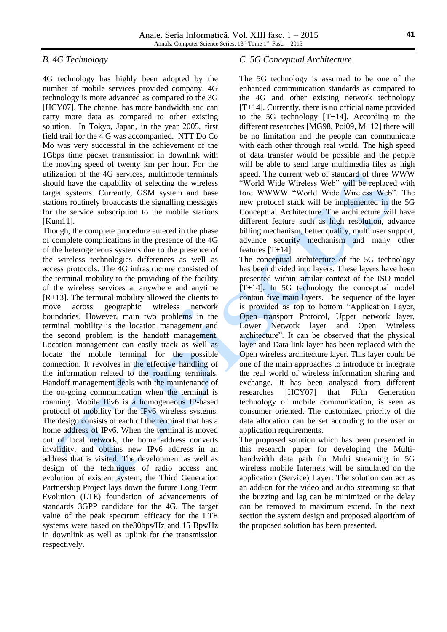## *B. 4G Technology*

4G technology has highly been adopted by the number of mobile services provided company. 4G technology is more advanced as compared to the 3G [HCY07]. The channel has more bandwidth and can carry more data as compared to other existing solution. In Tokyo, Japan, in the year 2005, first field trail for the 4 G was accompanied. NTT Do Co Mo was very successful in the achievement of the 1Gbps time packet transmission in downlink with the moving speed of twenty km per hour. For the utilization of the 4G services, multimode terminals should have the capability of selecting the wireless target systems. Currently, GSM system and base stations routinely broadcasts the signalling messages for the service subscription to the mobile stations [Kum11].

Though, the complete procedure entered in the phase of complete complications in the presence of the 4G of the heterogeneous systems due to the presence of the wireless technologies differences as well as access protocols. The 4G infrastructure consisted of the terminal mobility to the providing of the facility of the wireless services at anywhere and anytime  $[R+13]$ . The terminal mobility allowed the clients to move across geographic wireless network boundaries. However, main two problems in the terminal mobility is the location management and the second problem is the handoff management. Location management can easily track as well as locate the mobile terminal for the possible connection. It revolves in the effective handling of the information related to the roaming terminals. Handoff management deals with the maintenance of the on-going communication when the terminal is roaming. Mobile IPv6 is a homogeneous IP-based protocol of mobility for the IPv6 wireless systems. The design consists of each of the terminal that has a home address of IPv6. When the terminal is moved out of local network, the home address converts invalidity, and obtains new IPv6 address in an address that is visited. The development as well as design of the techniques of radio access and evolution of existent system, the Third Generation Partnership Project lays down the future Long Term Evolution (LTE) foundation of advancements of standards 3GPP candidate for the 4G. The target value of the peak spectrum efficacy for the LTE systems were based on the30bps/Hz and 15 Bps/Hz in downlink as well as uplink for the transmission respectively.

## *C. 5G Conceptual Architecture*

The 5G technology is assumed to be one of the enhanced communication standards as compared to the 4G and other existing network technology  $[T+14]$ . Currently, there is no official name provided to the 5G technology [T+14]. According to the different researches [MG98, Poi09, M+12] there will be no limitation and the people can communicate with each other through real world. The high speed of data transfer would be possible and the people will be able to send large multimedia files as high speed. The current web of standard of three WWW "World Wide Wireless Web" will be replaced with fore WWWW "World Wide Wireless Web". The new protocol stack will be implemented in the 5G Conceptual Architecture. The architecture will have different feature such as high resolution, advance billing mechanism, better quality, multi user support, advance security mechanism and many other features [T+14].

The conceptual architecture of the 5G technology has been divided into layers. These layers have been presented within similar context of the ISO model [T+14]. In 5G technology the conceptual model contain five main layers. The sequence of the layer is provided as top to bottom "Application Layer, Open transport Protocol, Upper network layer, Lower Network layer and Open Wireless architecture". It can be observed that the physical layer and Data link layer has been replaced with the Open wireless architecture layer. This layer could be one of the main approaches to introduce or integrate the real world of wireless information sharing and exchange. It has been analysed from different researches [HCY07] that Fifth Generation technology of mobile communication, is seen as consumer oriented. The customized priority of the data allocation can be set according to the user or application requirements.

The proposed solution which has been presented in this research paper for developing the Multibandwidth data path for Multi streaming in 5G wireless mobile Internets will be simulated on the application (Service) Layer. The solution can act as an add-on for the video and audio streaming so that the buzzing and lag can be minimized or the delay can be removed to maximum extend. In the next section the system design and proposed algorithm of the proposed solution has been presented.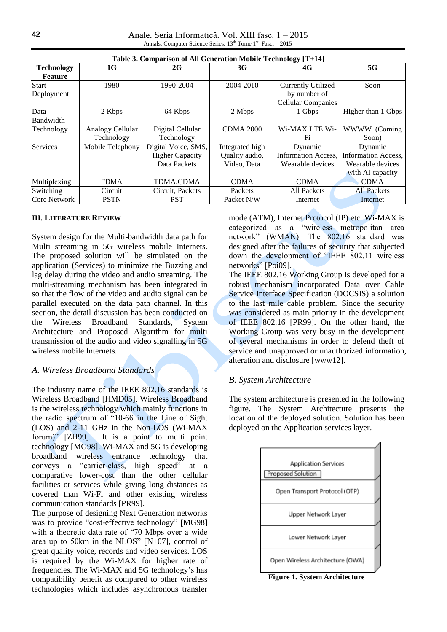Anale. Seria Informatică. Vol. XIII fasc. 1 – 2015 Annals. Computer Science Series.  $13<sup>th</sup>$  Tome  $1<sup>st</sup>$  Fasc.  $-2015$ 

| Table 3. Comparison of All Generation Mobile Technology [T+14] |                                |                                                               |                                                  |                                                                        |                                                                        |  |
|----------------------------------------------------------------|--------------------------------|---------------------------------------------------------------|--------------------------------------------------|------------------------------------------------------------------------|------------------------------------------------------------------------|--|
| <b>Technology</b><br><b>Feature</b>                            | 1G                             | 2G                                                            | 3G                                               | 4G                                                                     | 5G                                                                     |  |
| <b>Start</b><br>Deployment                                     | 1980                           | 1990-2004                                                     | 2004-2010                                        | <b>Currently Utilized</b><br>by number of<br><b>Cellular Companies</b> | Soon                                                                   |  |
| Data<br>Bandwidth                                              | 2 Kbps                         | 64 Kbps                                                       | 2 Mbps                                           | 1 Gbps                                                                 | Higher than 1 Gbps                                                     |  |
| Technology                                                     | Analogy Cellular<br>Technology | Digital Cellular<br>Technology                                | <b>CDMA 2000</b>                                 | Wi-MAX LTE Wi-<br>Fi                                                   | WWWW (Coming<br>Soon)                                                  |  |
| <b>Services</b>                                                | Mobile Telephony               | Digital Voice, SMS,<br><b>Higher Capacity</b><br>Data Packets | Integrated high<br>Quality audio,<br>Video, Data | Dynamic<br><b>Information Access,</b><br>Wearable devices              | Dynamic<br>Information Access,<br>Wearable devices<br>with AI capacity |  |
| Multiplexing                                                   | <b>FDMA</b>                    | TDMA,CDMA                                                     | <b>CDMA</b>                                      | <b>CDMA</b>                                                            | <b>CDMA</b>                                                            |  |
| Switching                                                      | Circuit                        | Circuit, Packets                                              | Packets                                          | <b>All Packets</b>                                                     | <b>All Packets</b>                                                     |  |
| Core Network                                                   | <b>PSTN</b>                    | <b>PST</b>                                                    | Packet N/W                                       | Internet                                                               | Internet                                                               |  |

#### **III. LITERATURE REVIEW**

System design for the Multi-bandwidth data path for Multi streaming in 5G wireless mobile Internets. The proposed solution will be simulated on the application (Services) to minimize the Buzzing and lag delay during the video and audio streaming. The multi-streaming mechanism has been integrated in so that the flow of the video and audio signal can be parallel executed on the data path channel. In this section, the detail discussion has been conducted on the Wireless Broadband Standards, System Architecture and Proposed Algorithm for multi transmission of the audio and video signalling in 5G wireless mobile Internets.

### *A. Wireless Broadband Standards*

The industry name of the IEEE 802.16 standards is Wireless Broadband [HMD05]. Wireless Broadband is the wireless technology which mainly functions in the radio spectrum of "10-66 in the Line of Sight (LOS) and 2-11 GHz in the Non-LOS (Wi-MAX forum)" [ZH99]. It is a point to multi point technology [MG98]. Wi-MAX and 5G is developing broadband wireless entrance technology that conveys a "carrier-class, high speed" at a comparative lower-cost than the other cellular facilities or services while giving long distances as covered than Wi-Fi and other existing wireless communication standards [PR99].

The purpose of designing Next Generation networks was to provide "cost-effective technology" [MG98] with a theoretic data rate of "70 Mbps over a wide area up to 50km in the NLOS" [N+07], control of great quality voice, records and video services. LOS is required by the Wi-MAX for higher rate of frequencies. The Wi-MAX and 5G technology's has compatibility benefit as compared to other wireless technologies which includes asynchronous transfer

mode (ATM), Internet Protocol (IP) etc. Wi-MAX is categorized as a "wireless metropolitan area network" (WMAN). The 802.16 standard was designed after the failures of security that subjected down the development of "IEEE 802.11 wireless networks" [Poi09].

The IEEE 802.16 Working Group is developed for a robust mechanism incorporated Data over Cable Service Interface Specification (DOCSIS) a solution to the last mile cable problem. Since the security was considered as main priority in the development of IEEE 802.16 [PR99]. On the other hand, the Working Group was very busy in the development of several mechanisms in order to defend theft of service and unapproved or unauthorized information, alteration and disclosure [www12].

### *B. System Architecture*

The system architecture is presented in the following figure. The System Architecture presents the location of the deployed solution. Solution has been deployed on the Application services layer.



**42**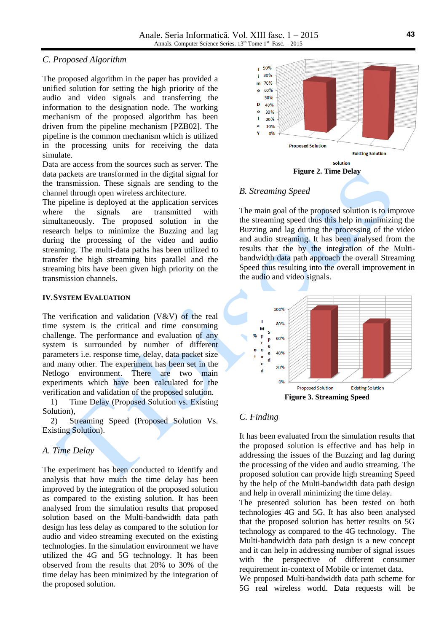## *C. Proposed Algorithm*

The proposed algorithm in the paper has provided a unified solution for setting the high priority of the audio and video signals and transferring the information to the designation node. The working mechanism of the proposed algorithm has been driven from the pipeline mechanism [PZB02]. The pipeline is the common mechanism which is utilized in the processing units for receiving the data simulate.

Data are access from the sources such as server. The data packets are transformed in the digital signal for the transmission. These signals are sending to the channel through open wireless architecture.

The pipeline is deployed at the application services where the signals are transmitted with simultaneously. The proposed solution in the research helps to minimize the Buzzing and lag during the processing of the video and audio streaming. The multi-data paths has been utilized to transfer the high streaming bits parallel and the streaming bits have been given high priority on the transmission channels.

### **IV.SYSTEM EVALUATION**

The verification and validation  $(V&V)$  of the real time system is the critical and time consuming challenge. The performance and evaluation of any system is surrounded by number of different parameters i.e. response time, delay, data packet size and many other. The experiment has been set in the Netlogo environment. There are two main experiments which have been calculated for the verification and validation of the proposed solution.

1) Time Delay (Proposed Solution vs. Existing Solution),

2) Streaming Speed (Proposed Solution Vs. Existing Solution).

## *A. Time Delay*

The experiment has been conducted to identify and analysis that how much the time delay has been improved by the integration of the proposed solution as compared to the existing solution. It has been analysed from the simulation results that proposed solution based on the Multi-bandwidth data path design has less delay as compared to the solution for audio and video streaming executed on the existing technologies. In the simulation environment we have utilized the 4G and 5G technology. It has been observed from the results that 20% to 30% of the time delay has been minimized by the integration of the proposed solution.



## *B. Streaming Speed*

The main goal of the proposed solution is to improve the streaming speed thus this help in minimizing the Buzzing and lag during the processing of the video and audio streaming. It has been analysed from the results that the by the integration of the Multibandwidth data path approach the overall Streaming Speed thus resulting into the overall improvement in the audio and video signals.



## *C. Finding*

It has been evaluated from the simulation results that the proposed solution is effective and has help in addressing the issues of the Buzzing and lag during the processing of the video and audio streaming. The proposed solution can provide high streaming Speed by the help of the Multi-bandwidth data path design and help in overall minimizing the time delay.

The presented solution has been tested on both technologies 4G and 5G. It has also been analysed that the proposed solution has better results on 5G technology as compared to the 4G technology. The Multi-bandwidth data path design is a new concept and it can help in addressing number of signal issues with the perspective of different consumer requirement in-context of Mobile or internet data.

We proposed Multi-bandwidth data path scheme for 5G real wireless world. Data requests will be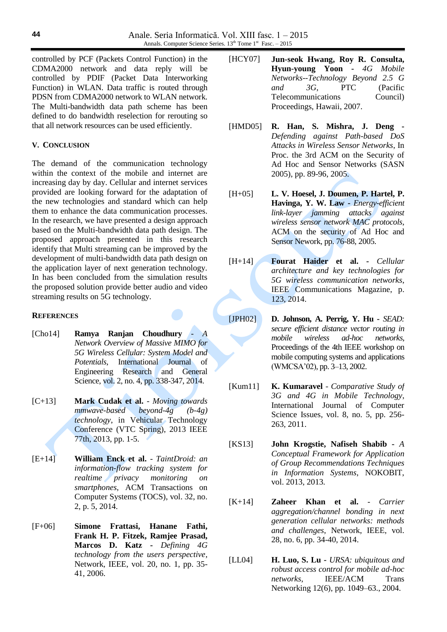controlled by PCF (Packets Control Function) in the CDMA2000 network and data reply will be controlled by PDIF (Packet Data Interworking Function) in WLAN. Data traffic is routed through PDSN from CDMA2000 network to WLAN network. The Multi-bandwidth data path scheme has been defined to do bandwidth reselection for rerouting so that all network resources can be used efficiently.

#### **V. CONCLUSION**

The demand of the communication technology within the context of the mobile and internet are increasing day by day. Cellular and internet services provided are looking forward for the adaptation of the new technologies and standard which can help them to enhance the data communication processes. In the research, we have presented a design approach based on the Multi-bandwidth data path design. The proposed approach presented in this research identify that Multi streaming can be improved by the development of multi-bandwidth data path design on the application layer of next generation technology. In has been concluded from the simulation results the proposed solution provide better audio and video streaming results on 5G technology.

#### **REFERENCES**

- [Cho14] **Ramya Ranjan Choudhury** *A Network Overview of Massive MIMO for 5G Wireless Cellular: System Model and Potentials*, International Journal of Engineering Research and General Science, vol. 2, no. 4, pp. 338-347, 2014.
- [C+13] **Mark Cudak et al.** *Moving towards mmwave-based beyond-4g (b-4g) technology*, in Vehicular Technology Conference (VTC Spring), 2013 IEEE 77th, 2013, pp. 1-5.
- [E+14] **William Enck et al.** *TaintDroid: an information-flow tracking system for realtime privacy monitoring on smartphones*, ACM Transactions on Computer Systems (TOCS), vol. 32, no. 2, p. 5, 2014.
- [F+06] **Simone Frattasi, Hanane Fathi, Frank H. P. Fitzek, Ramjee Prasad, Marcos D. Katz -** *Defining 4G technology from the users perspective*, Network, IEEE, vol. 20, no. 1, pp. 35- 41, 2006.
- [HCY07] **Jun-seok Hwang, Roy R. Consulta, Hyun-young Yoon -** *4G Mobile Networks--Technology Beyond 2.5 G and 3G*, PTC (Pacific Telecommunications Council) Proceedings, Hawaii, 2007.
- [HMD05] **R. Han, S. Mishra, J. Deng -** *Defending against Path-based DoS Attacks in Wireless Sensor Networks*, In Proc. the 3rd ACM on the Security of Ad Hoc and Sensor Networks (SASN 2005), pp. 89-96, 2005.
- [H+05] **L. V. Hoesel, J. Doumen, P. Hartel, P. Havinga, Y. W. Law -** *Energy-efficient link-layer jamming attacks against wireless sensor network MAC protocols*, ACM on the security of Ad Hoc and Sensor Nework, pp. 76-88, 2005.
- [H+14] **Fourat Haider et al. -** *Cellular architecture and key technologies for 5G wireless communication networks*, IEEE Communications Magazine, p. 123, 2014.
- [JPH02] **D. Johnson, A. Perrig, Y. Hu -** *SEAD: secure efficient distance vector routing in mobile wireless ad-hoc networks*, Proceedings of the 4th IEEE workshop on mobile computing systems and applications (WMCSA'02), pp. 3–13, 2002.
- [Kum11] **K. Kumaravel** *Comparative Study of 3G and 4G in Mobile Technology*, International Journal of Computer Science Issues, vol. 8, no. 5, pp. 256- 263, 2011.
- [KS13] **John Krogstie, Nafiseh Shabib -** *A Conceptual Framework for Application of Group Recommendations Techniques in Information Systems*, NOKOBIT, vol. 2013, 2013.
- [K+14] **Zaheer Khan et al.** *Carrier aggregation/channel bonding in next generation cellular networks: methods and challenges*, Network, IEEE, vol. 28, no. 6, pp. 34-40, 2014.
- [LL04] **H. Luo, S. Lu -** *URSA: ubiquitous and robust access control for mobile ad-hoc networks*, IEEE/ACM Trans Networking 12(6), pp. 1049–63., 2004.